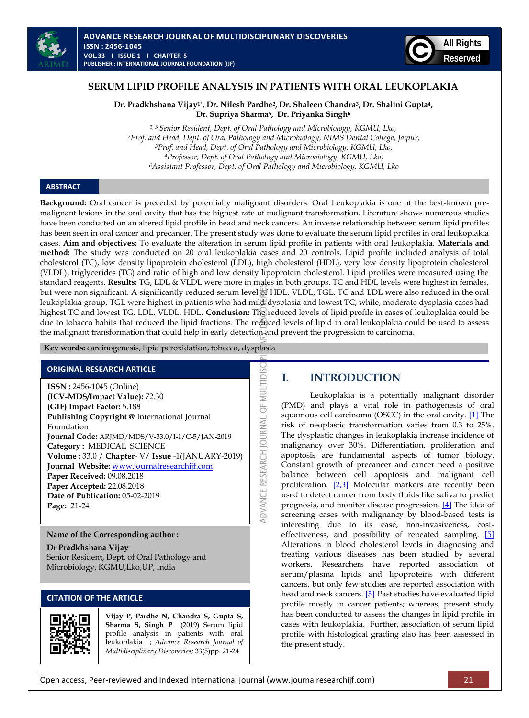



## **SERUM LIPID PROFILE ANALYSIS IN PATIENTS WITH ORAL LEUKOPLAKIA**

**Dr. Pradkhshana Vijay1\* , Dr. Nilesh Pardhe2, Dr. Shaleen Chandra3, Dr. Shalini Gupta4, Dr. Supriya Sharma5, Dr. Priyanka Singh<sup>6</sup>**

*1, 5 Senior Resident, Dept. of Oral Pathology and Microbiology, KGMU, Lko, Prof. and Head, Dept. of Oral Pathology and Microbiology, NIMS Dental College, Jaipur, Prof. and Head, Dept. of Oral Pathology and Microbiology, KGMU, Lko, Professor, Dept. of Oral Pathology and Microbiology, KGMU, Lko, Assistant Professor, Dept. of Oral Pathology and Microbiology, KGMU, Lko*

#### **ABSTRACT**

**Background:** Oral cancer is preceded by potentially malignant disorders. Oral Leukoplakia is one of the best-known premalignant lesions in the oral cavity that has the highest rate of malignant transformation. Literature shows numerous studies have been conducted on an altered lipid profile in head and neck cancers. An inverse relationship between serum lipid profiles has been seen in oral cancer and precancer. The present study was done to evaluate the serum lipid profiles in oral leukoplakia cases. **Aim and objectives:** To evaluate the alteration in serum lipid profile in patients with oral leukoplakia. **Materials and method:** The study was conducted on 20 oral leukoplakia cases and 20 controls. Lipid profile included analysis of total cholesterol (TC), low density lipoprotein cholesterol (LDL), high cholesterol (HDL), very low density lipoprotein cholesterol (VLDL), triglycerides (TG) and ratio of high and low density lipoprotein cholesterol. Lipid profiles were measured using the standard reagents. **Results:** TG, LDL & VLDL were more in males in both groups. TC and HDL levels were highest in females, but were non significant. A significantly reduced serum level of HDL, VLDL, TGL, TC and LDL were also reduced in the oral leukoplakia group. TGL were highest in patients who had mild dysplasia and lowest TC, while, moderate dysplasia cases had highest TC and lowest TG, LDL, VLDL, HDL. **Conclusion:** The reduced levels of lipid profile in cases of leukoplakia could be due to tobacco habits that reduced the lipid fractions. The reduced levels of lipid in oral leukoplakia could be used to assess the malignant transformation that could help in early detection and prevent the progression to carcinoma.

ADVANCE RESEARCH JOURNAL OF MULTIDISO

 **Key words:** carcinogenesis, lipid peroxidation, tobacco, dysplasia

#### **ORIGINAL RESEARCH ARTICLE**

**ISSN :** 2456-1045 (Online) **(ICV-MDS/Impact Value):** 72.30 **(GIF) Impact Factor:** 5.188 **Publishing Copyright @** International Journal Foundation **Journal Code:** ARJMD/MDS/V-33.0/I-1/C-5/JAN-2019 **Category :** MEDICAL SCIENCE **Volume :** 33.0 / **Chapter**- V/ **Issue** -1(JANUARY-2019) **Journal Website:** [www.journalresearchijf.com](http://www.journalresearchijf.com/) **Paper Received:** 09.08.2018 **Paper Accepted:** 22.08.2018 **Date of Publication:** 05-02-2019 **Page:** 21-24

#### **Name of the Corresponding author :**

**Dr Pradkhshana Vijay** Senior Resident, Dept. of Oral Pathology and Microbiology, KGMU,Lko,UP, India

#### **CITATION OF THE ARTICLE**



**Vijay P, Pardhe N, Chandra S, Gupta S, Sharma S, Singh P** (2019) Serum lipid profile analysis in patients with oral leukoplakia ; *Advance Research Journal of Multidisciplinary Discoveries;* 33(5)pp. 21-24

### **I. INTRODUCTION**

<span id="page-0-0"></span>Leukoplakia is a potentially malignant disorder (PMD) and plays a vital role in pathogenesis of oral squamous cell carcinoma (OSCC) in the oral cavity. [\[1\]](#page-0-0) The risk of neoplastic transformation varies from 0.3 to 25%. The dysplastic changes in leukoplakia increase incidence of malignancy over 30%. Differentiation, proliferation and apoptosis are fundamental aspects of tumor biology. Constant growth of precancer and cancer need a positive balance between cell apoptosis and malignant cell proliferation.  $[2,3]$  Molecular markers are recently been used to detect cancer from body fluids like saliva to predict prognosis, and monitor disease progression. [\[4\]](#page-0-0) The idea of screening cases with malignancy by blood-based tests is interesting due to its ease, non-invasiveness, costeffectiveness, and possibility of repeated sampling. [\[5\]](#page-0-0) Alterations in blood cholesterol levels in diagnosing and treating various diseases has been studied by several workers. Researchers have reported association of serum/plasma lipids and lipoproteins with different cancers, but only few studies are reported association with head and neck cancers. [\[5\]](#page-0-0) Past studies have evaluated lipid profile mostly in cancer patients; whereas, present study has been conducted to assess the changes in lipid profile in cases with leukoplakia. Further, association of serum lipid profile with histological grading also has been assessed in the present study.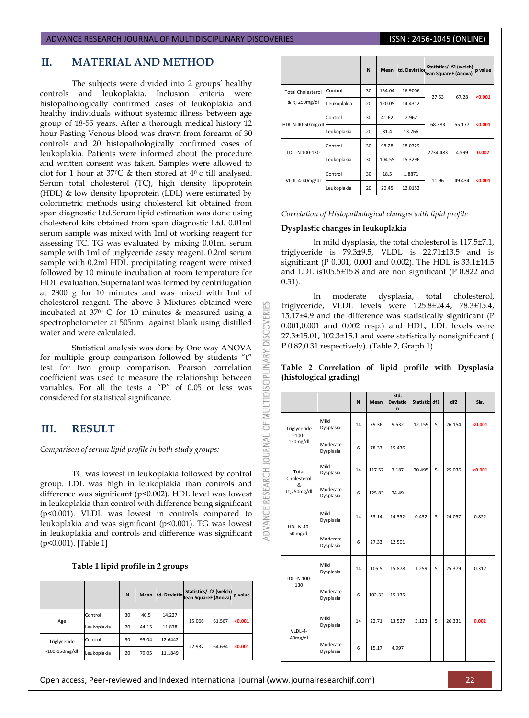#### ADVANCE RESEARCH JOURNAL OF MULTIDISCIPLINARY DISCOVERIES **ISSN : 2456-1045 (ONLINE)**

## **II. MATERIAL AND METHOD**

The subjects were divided into 2 groups' healthy controls and leukoplakia. Inclusion criteria were histopathologically confirmed cases of leukoplakia and healthy individuals without systemic illness between age group of 18-55 years. After a thorough medical history 12 hour Fasting Venous blood was drawn from forearm of 30 controls and 20 histopathologically confirmed cases of leukoplakia. Patients were informed about the procedure and written consent was taken. Samples were allowed to clot for 1 hour at 370C & then stored at 40 c till analysed. Serum total cholesterol (TC), high density lipoprotein (HDL) & low density lipoprotein (LDL) were estimated by colorimetric methods using cholesterol kit obtained from span diagnostic Ltd.Serum lipid estimation was done using cholesterol kits obtained from span diagnostic Ltd. 0.01ml serum sample was mixed with 1ml of working reagent for assessing TC. TG was evaluated by mixing 0.01ml serum sample with 1ml of triglyceride assay reagent. 0.2ml serum sample with 0.2ml HDL precipitating reagent were mixed followed by 10 minute incubation at room temperature for HDL evaluation. Supernatant was formed by centrifugation at 2800 g for 10 minutes and was mixed with 1ml of cholesterol reagent. The above 3 Mixtures obtained were incubated at  $370c$  C for 10 minutes & measured using a spectrophotometer at 505nm against blank using distilled water and were calculated.

Statistical analysis was done by One way ANOVA for multiple group comparison followed by students "t" test for two group comparison. Pearson correlation coefficient was used to measure the relationship between variables. For all the tests a "P" of 0.05 or less was considered for statistical significance.

# **III. RESULT**

*Comparison of serum lipid profile in both study groups:*

TC was lowest in leukoplakia followed by control group. LDL was high in leukoplakia than controls and difference was significant (p<0.002). HDL level was lowest in leukoplakia than control with difference being significant (p<0.001). VLDL was lowest in controls compared to leukoplakia and was significant (p<0.001). TG was lowest in leukoplakia and controls and difference was significant (p<0.001). [Table 1]

| Table 1 lipid profile in 2 groups |  |  |  |  |
|-----------------------------------|--|--|--|--|
|-----------------------------------|--|--|--|--|

|                                    |             | N  | <b>Mean</b> | td. Deviation nean Square F (Anova) | Statistics/ | f2 (welch) | p value |
|------------------------------------|-------------|----|-------------|-------------------------------------|-------------|------------|---------|
| Age                                | Control     | 30 | 40.5        | 14.227                              | 15.066      | 61.567     | < 0.001 |
|                                    | Leukoplakia | 20 | 44.15       | 11.878                              |             |            |         |
| Triglyceride<br>$-100 - 150$ mg/dl | Control     | 30 | 95.04       | 12.6442                             |             |            |         |
|                                    | Leukoplakia | 20 | 79.05       | 11.1849                             | 22.937      | 64.634     | < 0.001 |

|                          |             | N  | <b>Mean</b> | td. Deviation | Statistics/ f2 (welch)<br>lean SquareF (Anova) |        | p value |
|--------------------------|-------------|----|-------------|---------------|------------------------------------------------|--------|---------|
| <b>Total Cholesterol</b> | Control     | 30 | 154.04      | 16.9006       | 27.53                                          | 67.28  | < 0.001 |
| & lt; 250mg/dl           | Leukoplakia | 20 | 120.05      | 14.4312       |                                                |        |         |
| HDL N-40-50 mg/dl        | Control     | 30 | 41.62       | 2.962         | 68.383                                         | 55.177 | < 0.001 |
|                          | Leukoplakia | 20 | 31.4        | 13.766        |                                                |        |         |
| LDL -N 100-130           | Control     | 30 | 98.28       | 18.0329       |                                                | 4.999  | 0.002   |
|                          | Leukoplakia | 30 | 104.55      | 15.3296       | 2234.483                                       |        |         |
| VLDL-4-40mg/dl           | Control     | 30 | 18.5        | 1.8871        |                                                |        |         |
|                          | Leukoplakia | 20 | 20.45       | 12.0152       | 11.96                                          | 49.434 | < 0.001 |

| Correlation of Histopathological changes with lipid profile |  |  |  |
|-------------------------------------------------------------|--|--|--|
|                                                             |  |  |  |

#### **Dysplastic changes in leukoplakia**

**DISCOVERI** 

DVANCE RESEARCH JOURNAL OF MULTIDISCIPLINARY

In mild dysplasia, the total cholesterol is 117.5±7.1, triglyceride is 79.3±9.5, VLDL is 22.71±13.5 and is significant (P 0.001, 0.001 and 0.002). The HDL is 33.1±14.5 and LDL is105.5±15.8 and are non significant (P 0.822 and 0.31).

In moderate dysplasia, total cholesterol, triglyceride, VLDL levels were 125.8±24.4, 78.3±15.4, 15.17±4.9 and the difference was statistically significant (P 0.001,0.001 and 0.002 resp.) and HDL, LDL levels were 27.3±15.01, 102.3±15.1 and were statistically nonsignificant ( P 0.82,0.31 respectively). (Table 2, Graph 1)

#### **Table 2 Correlation of lipid profile with Dysplasia (histological grading)**

|                              |                       | N  | <b>Mean</b> | Std.<br><b>Deviatio</b><br>n | Statistic df1 |   | df2    | Sig.    |
|------------------------------|-----------------------|----|-------------|------------------------------|---------------|---|--------|---------|
| Triglyceride<br>$-100-$      | Mild<br>Dysplasia     | 14 | 79.36       | 9.532                        | 12.159        | 5 | 26.154 | < 0.001 |
| 150mg/dl                     | Moderate<br>Dysplasia | 6  | 78.33       | 15.436                       |               |   |        |         |
| Total<br>Cholesterol         | Mild<br>Dysplasia     | 14 | 117.57      | 7.187                        | 20.495        | 5 | 25.036 | < 0.001 |
| 8<br>Lt;250mg/dl             | Moderate<br>Dysplasia | 6  | 125.83      | 24.49                        |               |   |        |         |
| <b>HDL N-40-</b><br>50 mg/dl | Mild<br>Dysplasia     | 14 | 33.14       | 14.352                       | 0.432         | 5 | 24.057 | 0.822   |
|                              | Moderate<br>Dysplasia | 6  | 27.33       | 12.501                       |               |   |        |         |
| LDL -N 100-                  | Mild<br>Dysplasia     | 14 | 105.5       | 15.878                       | 1.259         | 5 | 25.379 | 0.312   |
| 130                          | Moderate<br>Dysplasia | 6  | 102.33      | 15.135                       |               |   |        |         |
| VLDL-4-<br>40mg/dl           | Mild<br>Dysplasia     | 14 | 22.71       | 13.527                       | 5.123         | 5 | 26.331 | 0.002   |
|                              | Moderate<br>Dysplasia | 6  | 15.17       | 4.997                        |               |   |        |         |

Open access, Peer-reviewed and Indexed international journal (www.journalresearchijf.com) 22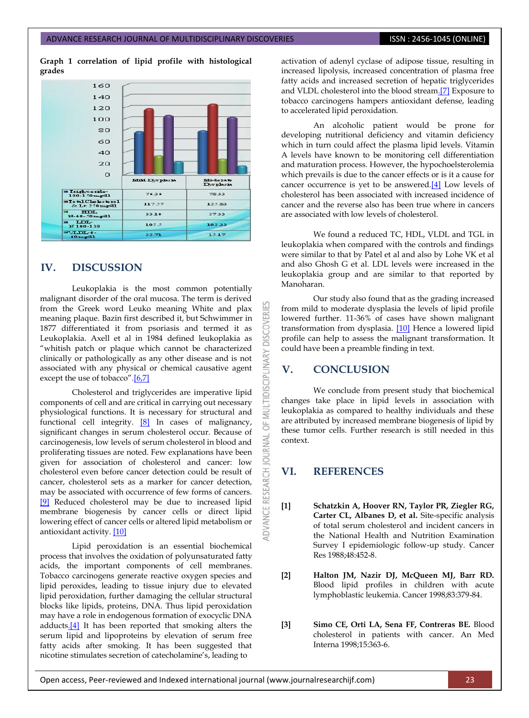**Graph 1 correlation of lipid profile with histological grades**



# **IV. DISCUSSION**

Leukoplakia is the most common potentially malignant disorder of the oral mucosa. The term is derived from the Greek word Leuko meaning White and plax meaning plaque. Bazin first described it, but Schwimmer in 1877 differentiated it from psoriasis and termed it as Leukoplakia. Axell et al in 1984 defined leukoplakia as "whitish patch or plaque which cannot be characterized clinically or pathologically as any other disease and is not associated with any physical or chemical causative agent except the use of tobacco".[\[6,7\]](#page-0-0)

Cholesterol and triglycerides are imperative lipid components of cell and are critical in carrying out necessary physiological functions. It is necessary for structural and functional cell integrity. [\[8\]](#page-0-0) In cases of malignancy, significant changes in serum cholesterol occur. Because of carcinogenesis, low levels of serum cholesterol in blood and proliferating tissues are noted. Few explanations have been given for association of cholesterol and cancer: low cholesterol even before cancer detection could be result of cancer, cholesterol sets as a marker for cancer detection, may be associated with occurrence of few forms of cancers. [\[9\]](#page-0-0) Reduced cholesterol may be due to increased lipid membrane biogenesis by cancer cells or direct lipid lowering effect of cancer cells or altered lipid metabolism or antioxidant activity. [\[10\]](#page-0-0)

Lipid peroxidation is an essential biochemical process that involves the oxidation of polyunsaturated fatty acids, the important components of cell membranes. Tobacco carcinogens generate reactive oxygen species and lipid peroxides, leading to tissue injury due to elevated lipid peroxidation, further damaging the cellular structural blocks like lipids, proteins, DNA. Thus lipid peroxidation may have a role in endogenous formation of exocyclic DNA adduct[s.\[4\]](#page-0-0) It has been reported that smoking alters the serum lipid and lipoproteins by elevation of serum free fatty acids after smoking. It has been suggested that nicotine stimulates secretion of catecholamine's, leading to

activation of adenyl cyclase of adipose tissue, resulting in increased lipolysis, increased concentration of plasma free fatty acids and increased secretion of hepatic triglycerides and VLDL cholesterol into the blood strea[m.\[7\]](#page-0-0) Exposure to tobacco carcinogens hampers antioxidant defense, leading to accelerated lipid peroxidation.

An alcoholic patient would be prone for developing nutritional deficiency and vitamin deficiency which in turn could affect the plasma lipid levels. Vitamin A levels have known to be monitoring cell differentiation and maturation process. However, the hypochoelsterolemia which prevails is due to the cancer effects or is it a cause for cancer occurrence is yet to be answered[.\[4\]](#page-0-0) Low levels of cholesterol has been associated with increased incidence of cancer and the reverse also has been true where in cancers are associated with low levels of cholesterol.

We found a reduced TC, HDL, VLDL and TGL in leukoplakia when compared with the controls and findings were similar to that by Patel et al and also by Lohe VK et al and also Ghosh G et al. LDL levels were increased in the leukoplakia group and are similar to that reported by Manoharan.

Our study also found that as the grading increased from mild to moderate dysplasia the levels of lipid profile lowered further. 11-36% of cases have shown malignant transformation from dysplasia. [\[10\]](#page-0-0) Hence a lowered lipid profile can help to assess the malignant transformation. It could have been a preamble finding in text.

# **V. CONCLUSION**

**DISCOVERI** 

**IDISCIPLINARY** 

5 NAI.

ē

**RESEARCH** 

ADVANCE

We conclude from present study that biochemical changes take place in lipid levels in association with leukoplakia as compared to healthy individuals and these are attributed by increased membrane biogenesis of lipid by these tumor cells. Further research is still needed in this context.

# **VI. REFERENCES**

- **[1] Schatzkin A, Hoover RN, Taylor PR, Ziegler RG, Carter CL, Albanes D, et al.** Site-specific analysis of total serum cholesterol and incident cancers in the National Health and Nutrition Examination Survey I epidemiologic follow-up study. Cancer Res 1988;48:452-8.
- **[2] Halton JM, Nazir DJ, McQueen MJ, Barr RD.** Blood lipid profiles in children with acute lymphoblastic leukemia. Cancer 1998;83:379-84.
- **[3] Simo CE, Orti LA, Sena FF, Contreras BE.** Blood cholesterol in patients with cancer. An Med Interna 1998;15:363-6.